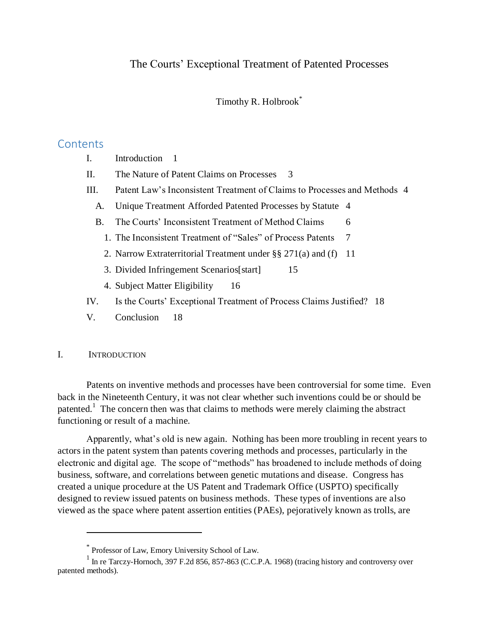Timothy R. Holbrook\*

# **Contents**

| Introduction |  |
|--------------|--|
|              |  |

- II. [The Nature of Patent Claims on Processes](#page-2-0) 3
- III. [Patent Law's Inconsistent Treatment of Claims to Processes and Methods](#page-3-0) 4
	- A. [Unique Treatment Afforded Patented Processes by Statute](#page-3-1) 4
	- B. [The Courts' Inconsistent Treatment of Method Claims](#page-5-0) 6
		- 1. [The Inconsistent Treatment of "Sales" of Process Patents](#page-6-0) 7
		- 2. [Narrow Extraterritorial Treatment under §§ 271\(a\) and \(f\)](#page-10-0) 11
		- 3. [Divided Infringement Scenarios\[start\]](#page-14-0) 15
		- 4. [Subject Matter Eligibility](#page-15-0) 16
- IV. [Is the Courts' Exceptional Treatment of Process Claims Justified?](#page-17-0) 18
- V. [Conclusion](#page-17-1) 18

## <span id="page-0-0"></span>I. INTRODUCTION

Patents on inventive methods and processes have been controversial for some time. Even back in the Nineteenth Century, it was not clear whether such inventions could be or should be patented.<sup>1</sup> The concern then was that claims to methods were merely claiming the abstract functioning or result of a machine.

Apparently, what's old is new again. Nothing has been more troubling in recent years to actors in the patent system than patents covering methods and processes, particularly in the electronic and digital age. The scope of "methods" has broadened to include methods of doing business, software, and correlations between genetic mutations and disease. Congress has created a unique procedure at the US Patent and Trademark Office (USPTO) specifically designed to review issued patents on business methods. These types of inventions are also viewed as the space where patent assertion entities (PAEs), pejoratively known as trolls, are

<sup>\*</sup> Professor of Law, Emory University School of Law.

<sup>&</sup>lt;sup>1</sup> In re Tarczy-Hornoch, 397 F.2d 856, 857-863 (C.C.P.A. 1968) (tracing history and controversy over patented methods).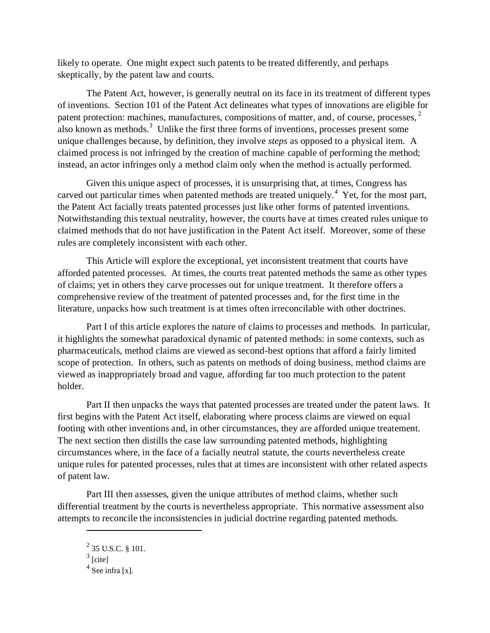likely to operate. One might expect such patents to be treated differently, and perhaps skeptically, by the patent law and courts.

The Patent Act, however, is generally neutral on its face in its treatment of different types of inventions. Section 101 of the Patent Act delineates what types of innovations are eligible for patent protection: machines, manufactures, compositions of matter, and, of course, processes,  $2$ also known as methods.<sup>3</sup> Unlike the first three forms of inventions, processes present some unique challenges because, by definition, they involve *steps* as opposed to a physical item. A claimed process is not infringed by the creation of machine capable of performing the method; instead, an actor infringes only a method claim only when the method is actually performed.

Given this unique aspect of processes, it is unsurprising that, at times, Congress has carved out particular times when patented methods are treated uniquely.<sup>4</sup> Yet, for the most part, the Patent Act facially treats patented processes just like other forms of patented inventions. Notwithstanding this textual neutrality, however, the courts have at times created rules unique to claimed methods that do not have justification in the Patent Act itself. Moreover, some of these rules are completely inconsistent with each other.

This Article will explore the exceptional, yet inconsistent treatment that courts have afforded patented processes. At times, the courts treat patented methods the same as other types of claims; yet in others they carve processes out for unique treatment. It therefore offers a comprehensive review of the treatment of patented processes and, for the first time in the literature, unpacks how such treatment is at times often irreconcilable with other doctrines.

Part I of this article explores the nature of claims to processes and methods. In particular, it highlights the somewhat paradoxical dynamic of patented methods: in some contexts, such as pharmaceuticals, method claims are viewed as second-best options that afford a fairly limited scope of protection. In others, such as patents on methods of doing business, method claims are viewed as inappropriately broad and vague, affording far too much protection to the patent holder.

Part II then unpacks the ways that patented processes are treated under the patent laws. It first begins with the Patent Act itself, elaborating where process claims are viewed on equal footing with other inventions and, in other circumstances, they are afforded unique treatement. The next section then distills the case law surrounding patented methods, highlighting circumstances where, in the face of a facially neutral statute, the courts nevertheless create unique rules for patented processes, rules that at times are inconsistent with other related aspects of patent law.

Part III then assesses, given the unique attributes of method claims, whether such differential treatment by the courts is nevertheless appropriate. This normative assessment also attempts to reconcile the inconsistencies in judicial doctrine regarding patented methods.

 $^{2}$  35 U.S.C. § 101.

 $3$  [cite]

 $4$  See infra [x].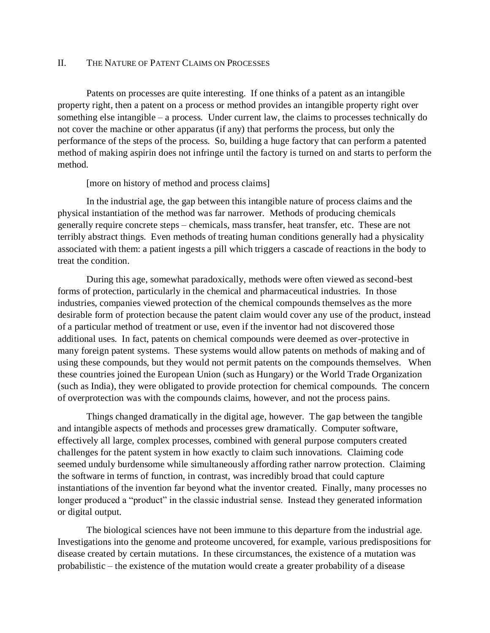#### <span id="page-2-0"></span>II. THE NATURE OF PATENT CLAIMS ON PROCESSES

Patents on processes are quite interesting. If one thinks of a patent as an intangible property right, then a patent on a process or method provides an intangible property right over something else intangible – a process. Under current law, the claims to processes technically do not cover the machine or other apparatus (if any) that performs the process, but only the performance of the steps of the process. So, building a huge factory that can perform a patented method of making aspirin does not infringe until the factory is turned on and starts to perform the method.

[more on history of method and process claims]

In the industrial age, the gap between this intangible nature of process claims and the physical instantiation of the method was far narrower. Methods of producing chemicals generally require concrete steps – chemicals, mass transfer, heat transfer, etc. These are not terribly abstract things. Even methods of treating human conditions generally had a physicality associated with them: a patient ingests a pill which triggers a cascade of reactions in the body to treat the condition.

During this age, somewhat paradoxically, methods were often viewed as second-best forms of protection, particularly in the chemical and pharmaceutical industries. In those industries, companies viewed protection of the chemical compounds themselves as the more desirable form of protection because the patent claim would cover any use of the product, instead of a particular method of treatment or use, even if the inventor had not discovered those additional uses. In fact, patents on chemical compounds were deemed as over-protective in many foreign patent systems. These systems would allow patents on methods of making and of using these compounds, but they would not permit patents on the compounds themselves. When these countries joined the European Union (such as Hungary) or the World Trade Organization (such as India), they were obligated to provide protection for chemical compounds. The concern of overprotection was with the compounds claims, however, and not the process pains.

Things changed dramatically in the digital age, however. The gap between the tangible and intangible aspects of methods and processes grew dramatically. Computer software, effectively all large, complex processes, combined with general purpose computers created challenges for the patent system in how exactly to claim such innovations. Claiming code seemed unduly burdensome while simultaneously affording rather narrow protection. Claiming the software in terms of function, in contrast, was incredibly broad that could capture instantiations of the invention far beyond what the inventor created. Finally, many processes no longer produced a "product" in the classic industrial sense. Instead they generated information or digital output.

The biological sciences have not been immune to this departure from the industrial age. Investigations into the genome and proteome uncovered, for example, various predispositions for disease created by certain mutations. In these circumstances, the existence of a mutation was probabilistic – the existence of the mutation would create a greater probability of a disease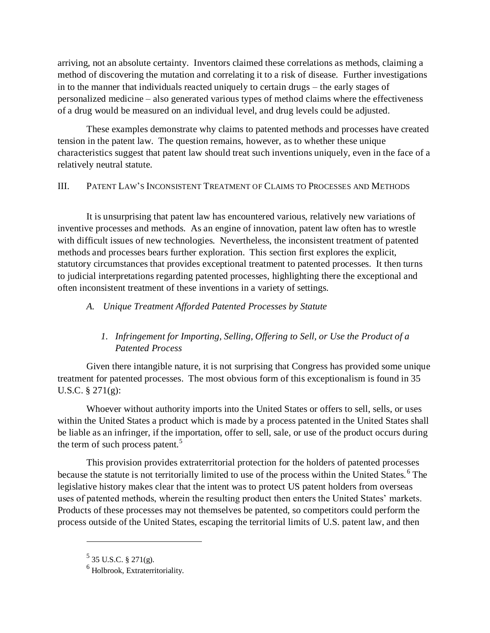arriving, not an absolute certainty. Inventors claimed these correlations as methods, claiming a method of discovering the mutation and correlating it to a risk of disease. Further investigations in to the manner that individuals reacted uniquely to certain drugs – the early stages of personalized medicine – also generated various types of method claims where the effectiveness of a drug would be measured on an individual level, and drug levels could be adjusted.

These examples demonstrate why claims to patented methods and processes have created tension in the patent law. The question remains, however, as to whether these unique characteristics suggest that patent law should treat such inventions uniquely, even in the face of a relatively neutral statute.

### <span id="page-3-0"></span>III. PATENT LAW'S INCONSISTENT TREATMENT OF CLAIMS TO PROCESSES AND METHODS

It is unsurprising that patent law has encountered various, relatively new variations of inventive processes and methods. As an engine of innovation, patent law often has to wrestle with difficult issues of new technologies. Nevertheless, the inconsistent treatment of patented methods and processes bears further exploration. This section first explores the explicit, statutory circumstances that provides exceptional treatment to patented processes. It then turns to judicial interpretations regarding patented processes, highlighting there the exceptional and often inconsistent treatment of these inventions in a variety of settings.

## <span id="page-3-1"></span>*A. Unique Treatment Afforded Patented Processes by Statute*

## *1. Infringement for Importing, Selling, Offering to Sell, or Use the Product of a Patented Process*

Given there intangible nature, it is not surprising that Congress has provided some unique treatment for patented processes. The most obvious form of this exceptionalism is found in 35 U.S.C. § 271(g):

Whoever without authority imports into the United States or offers to sell, sells, or uses within the United States a product which is made by a process patented in the United States shall be liable as an infringer, if the importation, offer to sell, sale, or use of the product occurs during the term of such process patent.<sup>5</sup>

This provision provides extraterritorial protection for the holders of patented processes because the statute is not territorially limited to use of the process within the United States.<sup>6</sup> The legislative history makes clear that the intent was to protect US patent holders from overseas uses of patented methods, wherein the resulting product then enters the United States' markets. Products of these processes may not themselves be patented, so competitors could perform the process outside of the United States, escaping the territorial limits of U.S. patent law, and then

 $5$  35 U.S.C. § 271(g).

<sup>6</sup> Holbrook, Extraterritoriality.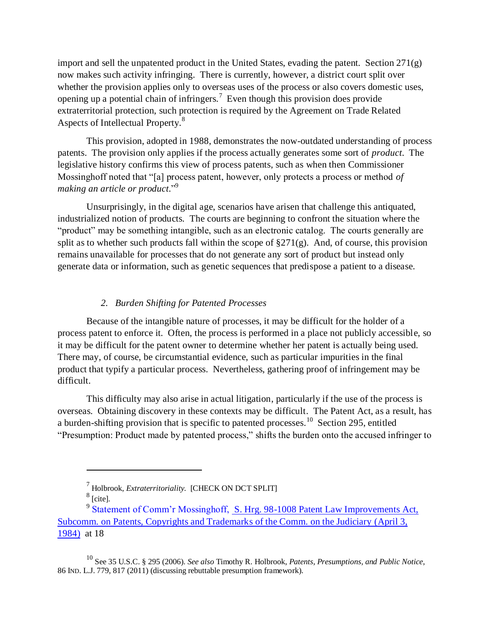import and sell the unpatented product in the United States, evading the patent. Section  $271(g)$ now makes such activity infringing. There is currently, however, a district court split over whether the provision applies only to overseas uses of the process or also covers domestic uses, opening up a potential chain of infringers.<sup>7</sup> Even though this provision does provide extraterritorial protection, such protection is required by the Agreement on Trade Related Aspects of Intellectual Property.<sup>8</sup>

This provision, adopted in 1988, demonstrates the now-outdated understanding of process patents. The provision only applies if the process actually generates some sort of *product*. The legislative history confirms this view of process patents, such as when then Commissioner Mossinghoff noted that "[a] process patent, however, only protects a process or method *of making an article or product.*" 9

Unsurprisingly, in the digital age, scenarios have arisen that challenge this antiquated, industrialized notion of products. The courts are beginning to confront the situation where the "product" may be something intangible, such as an electronic catalog. The courts generally are split as to whether such products fall within the scope of  $\S271(g)$ . And, of course, this provision remains unavailable for processes that do not generate any sort of product but instead only generate data or information, such as genetic sequences that predispose a patient to a disease.

## *2. Burden Shifting for Patented Processes*

Because of the intangible nature of processes, it may be difficult for the holder of a process patent to enforce it. Often, the process is performed in a place not publicly accessible, so it may be difficult for the patent owner to determine whether her patent is actually being used. There may, of course, be circumstantial evidence, such as particular impurities in the final product that typify a particular process. Nevertheless, gathering proof of infringement may be difficult.

This difficulty may also arise in actual litigation, particularly if the use of the process is overseas. Obtaining discovery in these contexts may be difficult. The Patent Act, as a result, has a burden-shifting provision that is specific to patented processes.<sup>10</sup> Section 295, entitled "Presumption: Product made by patented process," shifts the burden onto the accused infringer to

<span id="page-4-0"></span><sup>7</sup> Holbrook, *Extraterritoriality.* [CHECK ON DCT SPLIT]

 $^8$  [cite].

<sup>&</sup>lt;sup>9</sup> [Statement of Comm'r Mossinghoff, S. Hrg. 98-1008](https://a.next.westlaw.com/Link/Document/Blob/I32b39f20b2a611dc92eb010000000000.pdf?targetType=GAO&originationContext=document&transitionType=DocumentImage&uniqueId=be061271-39f9-4231-8a19-b7692b7a4525&contextData=%28sc.Folder*cid.5f3f0b65e6f047ae85f943fbff4d1933*oc.Keycite%29) Patent Law Improvements Act, [Subcomm. on Patents, Copyrights and Trademarks of the Comm. on the Judiciary](https://a.next.westlaw.com/Link/Document/Blob/I32b39f20b2a611dc92eb010000000000.pdf?targetType=GAO&originationContext=document&transitionType=DocumentImage&uniqueId=be061271-39f9-4231-8a19-b7692b7a4525&contextData=%28sc.Folder*cid.5f3f0b65e6f047ae85f943fbff4d1933*oc.Keycite%29) (April 3, [1984\)](https://a.next.westlaw.com/Link/Document/Blob/I32b39f20b2a611dc92eb010000000000.pdf?targetType=GAO&originationContext=document&transitionType=DocumentImage&uniqueId=be061271-39f9-4231-8a19-b7692b7a4525&contextData=%28sc.Folder*cid.5f3f0b65e6f047ae85f943fbff4d1933*oc.Keycite%29) at 18

<sup>10</sup> See 35 U.S.C. § 295 (2006). *See also* Timothy R. Holbrook, *Patents, Presumptions, and Public Notice*, 86 IND. L.J. 779, 817 (2011) (discussing rebuttable presumption framework).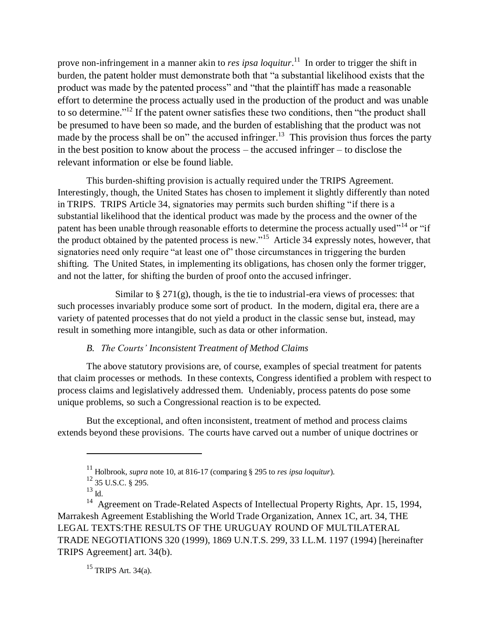prove non-infringement in a manner akin to *res ipsa loquitur*.<sup>11</sup> In order to trigger the shift in burden, the patent holder must demonstrate both that "a substantial likelihood exists that the product was made by the patented process" and "that the plaintiff has made a reasonable effort to determine the process actually used in the production of the product and was unable to so determine."<sup>12</sup> If the patent owner satisfies these two conditions, then "the product shall be presumed to have been so made, and the burden of establishing that the product was not made by the process shall be on" the accused infringer.<sup>13</sup> This provision thus forces the party in the best position to know about the process – the accused infringer – to disclose the relevant information or else be found liable.

This burden-shifting provision is actually required under the TRIPS Agreement. Interestingly, though, the United States has chosen to implement it slightly differently than noted in TRIPS. TRIPS Article 34, signatories may permits such burden shifting "if there is a substantial likelihood that the identical product was made by the process and the owner of the patent has been unable through reasonable efforts to determine the process actually used"<sup>14</sup> or "if the product obtained by the patented process is new."<sup>15</sup> Article 34 expressly notes, however, that signatories need only require "at least one of" those circumstances in triggering the burden shifting. The United States, in implementing its obligations, has chosen only the former trigger, and not the latter, for shifting the burden of proof onto the accused infringer.

Similar to  $\S 271(g)$ , though, is the tie to industrial-era views of processes: that such processes invariably produce some sort of product. In the modern, digital era, there are a variety of patented processes that do not yield a product in the classic sense but, instead, may result in something more intangible, such as data or other information.

#### *B. The Courts' Inconsistent Treatment of Method Claims*

<span id="page-5-0"></span>The above statutory provisions are, of course, examples of special treatment for patents that claim processes or methods. In these contexts, Congress identified a problem with respect to process claims and legislatively addressed them. Undeniably, process patents do pose some unique problems, so such a Congressional reaction is to be expected.

But the exceptional, and often inconsistent, treatment of method and process claims extends beyond these provisions. The courts have carved out a number of unique doctrines or

 $\overline{a}$ 

<sup>15</sup> TRIPS Art. 34(a).

<sup>11</sup> Holbrook, *supra* note [10,](#page-4-0) at 816-17 (comparing § 295 to *res ipsa loquitur*).

 $^{12}$  35 U.S.C. § 295.

 $^{13}$  Id.

<sup>&</sup>lt;sup>14</sup> Agreement on Trade-Related Aspects of Intellectual Property Rights, Apr. 15, 1994, Marrakesh Agreement Establishing the World Trade Organization, Annex 1C, art. 34, THE LEGAL TEXTS:THE RESULTS OF THE URUGUAY ROUND OF MULTILATERAL TRADE NEGOTIATIONS 320 (1999), 1869 U.N.T.S. 299, 33 I.L.M. 1197 (1994) [hereinafter TRIPS Agreement] art. 34(b).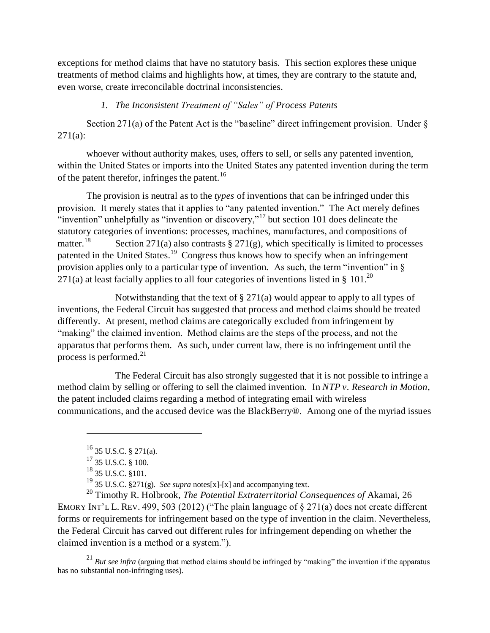exceptions for method claims that have no statutory basis. This section explores these unique treatments of method claims and highlights how, at times, they are contrary to the statute and, even worse, create irreconcilable doctrinal inconsistencies.

## *1. The Inconsistent Treatment of "Sales" of Process Patents*

<span id="page-6-0"></span>Section 271(a) of the Patent Act is the "baseline" direct infringement provision. Under  $\delta$  $271(a):$ 

whoever without authority makes, uses, offers to sell, or sells any patented invention, within the United States or imports into the United States any patented invention during the term of the patent therefor, infringes the patent.<sup>16</sup>

The provision is neutral as to the *types* of inventions that can be infringed under this provision. It merely states that it applies to "any patented invention." The Act merely defines "invention" unhelpfully as "invention or discovery,"<sup>17</sup> but section 101 does delineate the statutory categories of inventions: processes, machines, manufactures, and compositions of matter.<sup>18</sup> Section 271(a) also contrasts  $\S 271(g)$ , which specifically is limited to processes patented in the United States.<sup>19</sup> Congress thus knows how to specify when an infringement provision applies only to a particular type of invention. As such, the term "invention" in  $\S$ 271(a) at least facially applies to all four categories of inventions listed in § 101.<sup>20</sup>

<span id="page-6-1"></span>Notwithstanding that the text of  $\S 271(a)$  would appear to apply to all types of inventions, the Federal Circuit has suggested that process and method claims should be treated differently. At present, method claims are categorically excluded from infringement by "making" the claimed invention. Method claims are the steps of the process, and not the apparatus that performs them. As such, under current law, there is no infringement until the process is performed. $21$ 

The Federal Circuit has also strongly suggested that it is not possible to infringe a method claim by selling or offering to sell the claimed invention. In *NTP v. Research in Motion*, the patent included claims regarding a method of integrating email with wireless communications, and the accused device was the BlackBerry®. Among one of the myriad issues

 $\overline{a}$ 

<sup>20</sup> Timothy R. Holbrook, *The Potential Extraterritorial Consequences of* Akamai, 26 EMORY INT'L L. REV. 499, 503 (2012) ("The plain language of § 271(a) does not create different forms or requirements for infringement based on the type of invention in the claim. Nevertheless, the Federal Circuit has carved out different rules for infringement depending on whether the claimed invention is a method or a system.").

<sup>21</sup> *But see infra* (arguing that method claims should be infringed by "making" the invention if the apparatus has no substantial non-infringing uses).

 $^{16}$  35 U.S.C. § 271(a).

 $17\overline{35}$  U.S.C. § 100.

<sup>&</sup>lt;sup>18</sup> 35 U.S.C. §101.

<sup>19</sup> 35 U.S.C. §271(g). *See supra* notes[x]-[x] and accompanying text.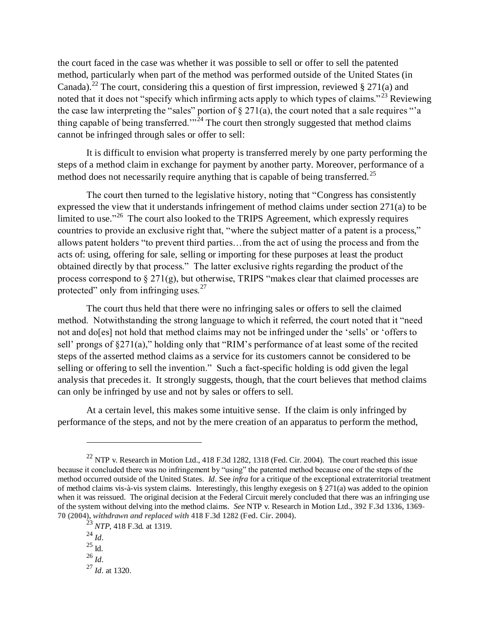the court faced in the case was whether it was possible to sell or offer to sell the patented method, particularly when part of the method was performed outside of the United States (in Canada).<sup>22</sup> The court, considering this a question of first impression, reviewed § 271(a) and noted that it does not "specify which infirming acts apply to which types of claims."<sup>23</sup> Reviewing the case law interpreting the "sales" portion of  $\S 271(a)$ , the court noted that a sale requires "a thing capable of being transferred."<sup>24</sup> The court then strongly suggested that method claims cannot be infringed through sales or offer to sell:

It is difficult to envision what property is transferred merely by one party performing the steps of a method claim in exchange for payment by another party. Moreover, performance of a method does not necessarily require anything that is capable of being transferred.<sup>25</sup>

The court then turned to the legislative history, noting that "Congress has consistently expressed the view that it understands infringement of method claims under section 271(a) to be limited to use."<sup>26</sup> The court also looked to the TRIPS Agreement, which expressly requires countries to provide an exclusive right that, "where the subject matter of a patent is a process," allows patent holders "to prevent third parties…from the act of using the process and from the acts of: using, offering for sale, selling or importing for these purposes at least the product obtained directly by that process." The latter exclusive rights regarding the product of the process correspond to § 271(g), but otherwise, TRIPS "makes clear that claimed processes are protected" only from infringing uses. $27$ 

The court thus held that there were no infringing sales or offers to sell the claimed method. Notwithstanding the strong language to which it referred, the court noted that it "need not and do[es] not hold that method claims may not be infringed under the 'sells' or 'offers to sell' prongs of §271(a)," holding only that "RIM's performance of at least some of the recited steps of the asserted method claims as a service for its customers cannot be considered to be selling or offering to sell the invention." Such a fact-specific holding is odd given the legal analysis that precedes it. It strongly suggests, though, that the court believes that method claims can only be infringed by use and not by sales or offers to sell.

At a certain level, this makes some intuitive sense. If the claim is only infringed by performance of the steps, and not by the mere creation of an apparatus to perform the method,

 $^{22}$  NTP v. Research in Motion Ltd., 418 F.3d 1282, 1318 (Fed. Cir. 2004). The court reached this issue because it concluded there was no infringement by "using" the patented method because one of the steps of the method occurred outside of the United States. *Id.* See *infra* for a critique of the exceptional extraterritorial treatment of method claims vis-à-vis system claims. Interestingly, this lengthy exegesis on § 271(a) was added to the opinion when it was reissued. The original decision at the Federal Circuit merely concluded that there was an infringing use of the system without delving into the method claims. *See* NTP v. Research in Motion Ltd., **392 F.3d 1336, 1369- 70 (2004),** *withdrawn and replaced with* **418 F.3d 1282 (Fed. Cir. 2004).**

<sup>23</sup> *NTP*, 418 F.3d*.* at 1319.

<sup>24</sup> *Id.*

 $^{25}$  Id.

<sup>26</sup> *Id.*

<sup>27</sup> *Id.* at 1320.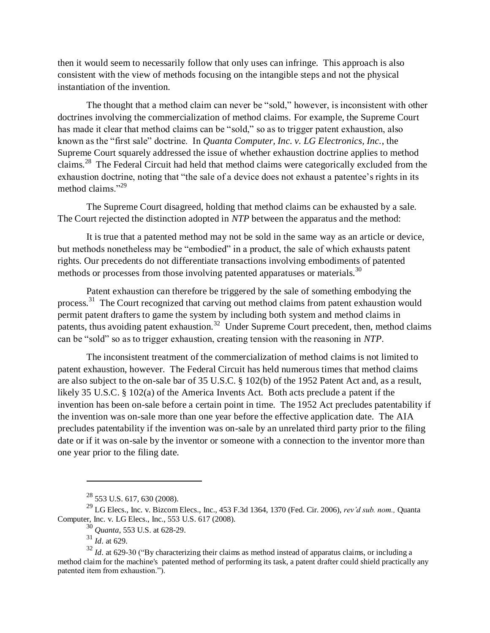then it would seem to necessarily follow that only uses can infringe. This approach is also consistent with the view of methods focusing on the intangible steps and not the physical instantiation of the invention.

The thought that a method claim can never be "sold," however, is inconsistent with other doctrines involving the commercialization of method claims. For example, the Supreme Court has made it clear that method claims can be "sold," so as to trigger patent exhaustion, also known as the "first sale" doctrine. In *Quanta Computer, Inc. v. LG Electronics, Inc.*, the Supreme Court squarely addressed the issue of whether exhaustion doctrine applies to method claims.<sup>28</sup> The Federal Circuit had held that method claims were categorically excluded from the exhaustion doctrine, noting that "the sale of a device does not exhaust a patentee's rights in its method claims."<sup>29</sup>

The Supreme Court disagreed, holding that method claims can be exhausted by a sale. The Court rejected the distinction adopted in *NTP* between the apparatus and the method:

It is true that a patented method may not be sold in the same way as an article or device, but methods nonetheless may be "embodied" in a product, the sale of which exhausts patent rights. Our precedents do not differentiate transactions involving embodiments of patented methods or processes from those involving patented apparatuses or materials.<sup>30</sup>

Patent exhaustion can therefore be triggered by the sale of something embodying the process.<sup>31</sup> The Court recognized that carving out method claims from patent exhaustion would permit patent drafters to game the system by including both system and method claims in patents, thus avoiding patent exhaustion.<sup>32</sup> Under Supreme Court precedent, then, method claims can be "sold" so as to trigger exhaustion, creating tension with the reasoning in *NTP*.

The inconsistent treatment of the commercialization of method claims is not limited to patent exhaustion, however. The Federal Circuit has held numerous times that method claims are also subject to the on-sale bar of 35 U.S.C. § 102(b) of the 1952 Patent Act and, as a result, likely 35 U.S.C. § 102(a) of the America Invents Act. Both acts preclude a patent if the invention has been on-sale before a certain point in time. The 1952 Act precludes patentability if the invention was on-sale more than one year before the effective application date. The AIA precludes patentability if the invention was on-sale by an unrelated third party prior to the filing date or if it was on-sale by the inventor or someone with a connection to the inventor more than one year prior to the filing date.

<sup>28</sup> 553 U.S. 617, 630 (2008).

<sup>29</sup> LG Elecs., Inc. v. Bizcom Elecs., Inc., 453 F.3d 1364, 1370 (Fed. Cir. 2006), *rev'd sub. nom.,* Quanta Computer, Inc. v. LG Elecs., Inc., 553 U.S. 617 (2008).

<sup>30</sup> *Quanta*, 553 U.S. at 628-29.

 $31 \frac{\cancel{2}^{24}}{1d}$ . at 629.

 $32$  *Id.* at 629-30 ("By characterizing their claims as method instead of apparatus claims, or including a method claim for the machine's patented method of performing its task, a patent drafter could shield practically any patented item from exhaustion.").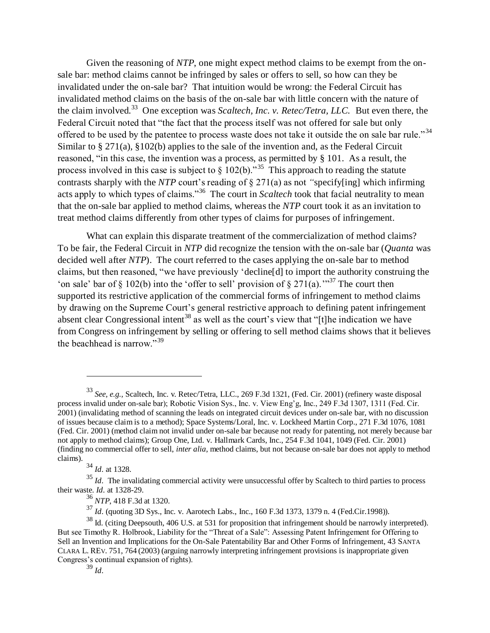Given the reasoning of *NTP*, one might expect method claims to be exempt from the onsale bar: method claims cannot be infringed by sales or offers to sell, so how can they be invalidated under the on-sale bar? That intuition would be wrong: the Federal Circuit has invalidated method claims on the basis of the on-sale bar with little concern with the nature of the claim involved.<sup>33</sup> One exception was *Scaltech, Inc. v. Retec/Tetra, LLC.* But even there, the Federal Circuit noted that "the fact that the process itself was not offered for sale but only offered to be used by the patentee to process waste does not take it outside the on sale bar rule."<sup>34</sup> Similar to § 271(a), §102(b) applies to the sale of the invention and, as the Federal Circuit reasoned, "in this case, the invention was a process, as permitted by § 101. As a result, the process involved in this case is subject to  $\S 102(b)$ .<sup>35</sup> This approach to reading the statute contrasts sharply with the *NTP* court's reading of § 271(a) as not *"*specify[ing] which infirming acts apply to which types of claims."<sup>36</sup> The court in *Scaltech* took that facial neutrality to mean that the on-sale bar applied to method claims, whereas the *NTP* court took it as an invitation to treat method claims differently from other types of claims for purposes of infringement.

What can explain this disparate treatment of the commercialization of method claims? To be fair, the Federal Circuit in *NTP* did recognize the tension with the on-sale bar (*Quanta* was decided well after *NTP*). The court referred to the cases applying the on-sale bar to method claims, but then reasoned, "we have previously 'decline[d] to import the authority construing the 'on sale' bar of § 102(b) into the 'offer to sell' provision of § 271(a).<sup>37</sup> The court then supported its restrictive application of the commercial forms of infringement to method claims by drawing on the Supreme Court's general restrictive approach to defining patent infringement absent clear Congressional intent<sup>38</sup> as well as the court's view that "[t]he indication we have from Congress on infringement by selling or offering to sell method claims shows that it believes the beachhead is narrow."<sup>39</sup>

<span id="page-9-0"></span><sup>33</sup> *See, e.g.,* Scaltech, Inc. v. Retec/Tetra, LLC., 269 F.3d 1321, (Fed. Cir. 2001) (refinery waste disposal process invalid under on-sale bar); Robotic Vision Sys., Inc. v. View Eng'g, Inc., 249 F.3d 1307, 1311 (Fed. Cir. 2001) (invalidating method of scanning the leads on integrated circuit devices under on-sale bar, with no discussion of issues because claim is to a method); Space Systems/Loral, Inc. v. Lockheed Martin Corp., 271 F.3d 1076, 1081 (Fed. Cir. 2001) (method claim not invalid under on-sale bar because not ready for patenting, not merely because bar not apply to method claims); Group One, Ltd. v. Hallmark Cards, Inc., 254 F.3d 1041, 1049 (Fed. Cir. 2001) (finding no commercial offer to sell, *inter alia*, method claims, but not because on-sale bar does not apply to method claims).

<sup>34</sup> *Id.* at 1328.

<sup>&</sup>lt;sup>35</sup> *Id.* The invalidating commercial activity were unsuccessful offer by Scaltech to third parties to process their waste. *Id.* at 1328-29.

<sup>36</sup> *NTP*, 418 F.3d at 1320.

<sup>37</sup> *Id.* (quoting 3D Sys., Inc. v. Aarotech Labs., Inc., 160 F.3d 1373, 1379 n. 4 (Fed.Cir.1998)).

<sup>&</sup>lt;sup>38</sup> Id. (citing Deepsouth, 406 U.S. at 531 for proposition that infringement should be narrowly interpreted). But see Timothy R. Holbrook, Liability for the "Threat of a Sale": Assessing Patent Infringement for Offering to Sell an Invention and Implications for the On-Sale Patentability Bar and Other Forms of Infringement, 43 SANTA CLARA L. REV. 751, 764 (2003) (arguing narrowly interpreting infringement provisions is inappropriate given Congress's continual expansion of rights).

 $\frac{39}{39}$  *Id.*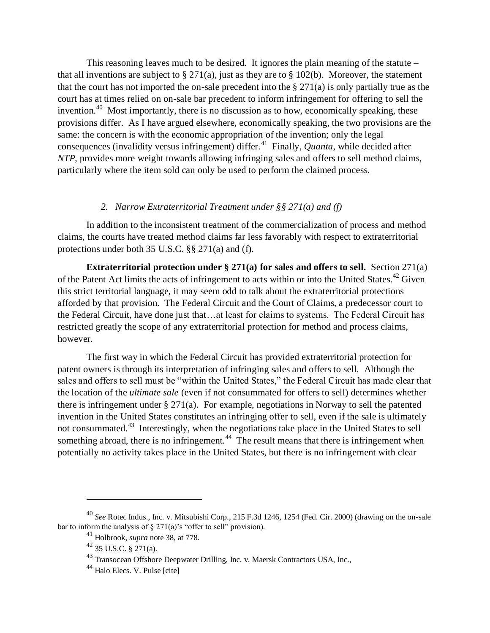This reasoning leaves much to be desired. It ignores the plain meaning of the statute – that all inventions are subject to § 271(a), just as they are to § 102(b). Moreover, the statement that the court has not imported the on-sale precedent into the § 271(a) is only partially true as the court has at times relied on on-sale bar precedent to inform infringement for offering to sell the invention.<sup>40</sup> Most importantly, there is no discussion as to how, economically speaking, these provisions differ. As I have argued elsewhere, economically speaking, the two provisions are the same: the concern is with the economic appropriation of the invention; only the legal consequences (invalidity versus infringement) differ.<sup>41</sup> Finally, *Quanta*, while decided after *NTP*, provides more weight towards allowing infringing sales and offers to sell method claims, particularly where the item sold can only be used to perform the claimed process.

#### *2. Narrow Extraterritorial Treatment under §§ 271(a) and (f)*

<span id="page-10-0"></span>In addition to the inconsistent treatment of the commercialization of process and method claims, the courts have treated method claims far less favorably with respect to extraterritorial protections under both 35 U.S.C. §§ 271(a) and (f).

**Extraterritorial protection under § 271(a) for sales and offers to sell.** Section 271(a) of the Patent Act limits the acts of infringement to acts within or into the United States.<sup>42</sup> Given this strict territorial language, it may seem odd to talk about the extraterritorial protections afforded by that provision. The Federal Circuit and the Court of Claims, a predecessor court to the Federal Circuit, have done just that…at least for claims to systems. The Federal Circuit has restricted greatly the scope of any extraterritorial protection for method and process claims, however.

The first way in which the Federal Circuit has provided extraterritorial protection for patent owners is through its interpretation of infringing sales and offers to sell. Although the sales and offers to sell must be "within the United States," the Federal Circuit has made clear that the location of the *ultimate sale* (even if not consummated for offers to sell) determines whether there is infringement under § 271(a). For example, negotiations in Norway to sell the patented invention in the United States constitutes an infringing offer to sell, even if the sale is ultimately not consummated.<sup>43</sup> Interestingly, when the negotiations take place in the United States to sell something abroad, there is no infringement.<sup>44</sup> The result means that there is infringement when potentially no activity takes place in the United States, but there is no infringement with clear

<sup>40</sup> *See* Rotec Indus., Inc. v. Mitsubishi Corp., 215 F.3d 1246, 1254 (Fed. Cir. 2000) (drawing on the on-sale bar to inform the analysis of  $\S 271(a)$ 's "offer to sell" provision).

<sup>41</sup> Holbrook, *supra* note [38,](#page-9-0) at 778.

<sup>42</sup> 35 U.S.C. § 271(a).

<sup>43</sup> Transocean Offshore Deepwater Drilling, Inc. v. Maersk Contractors USA, Inc.,

<sup>44</sup> Halo Elecs. V. Pulse [cite]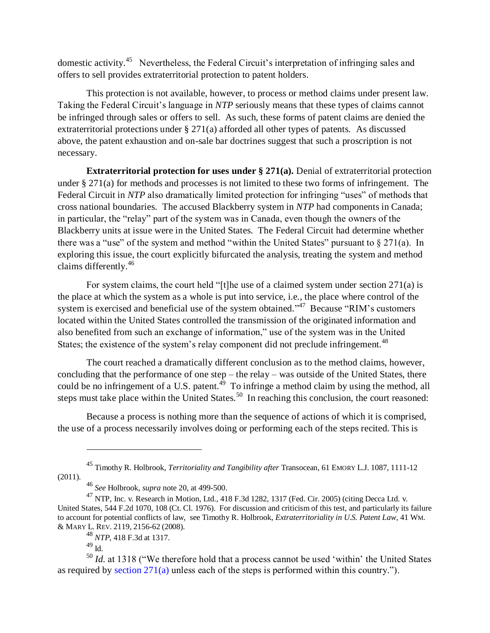domestic activity.<sup>45</sup> Nevertheless, the Federal Circuit's interpretation of infringing sales and offers to sell provides extraterritorial protection to patent holders.

This protection is not available, however, to process or method claims under present law. Taking the Federal Circuit's language in *NTP* seriously means that these types of claims cannot be infringed through sales or offers to sell. As such, these forms of patent claims are denied the extraterritorial protections under § 271(a) afforded all other types of patents. As discussed above, the patent exhaustion and on-sale bar doctrines suggest that such a proscription is not necessary.

**Extraterritorial protection for uses under § 271(a).** Denial of extraterritorial protection under § 271(a) for methods and processes is not limited to these two forms of infringement. The Federal Circuit in *NTP* also dramatically limited protection for infringing "uses" of methods that cross national boundaries. The accused Blackberry system in *NTP* had components in Canada; in particular, the "relay" part of the system was in Canada, even though the owners of the Blackberry units at issue were in the United States. The Federal Circuit had determine whether there was a "use" of the system and method "within the United States" pursuant to  $\S 271(a)$ . In exploring this issue, the court explicitly bifurcated the analysis, treating the system and method claims differently.<sup>46</sup>

For system claims, the court held "[t]he use of a claimed system under section 271(a) is the place at which the system as a whole is put into service, i.e., the place where control of the system is exercised and beneficial use of the system obtained.<sup> $347$ </sup> Because "RIM's customers located within the United States controlled the transmission of the originated information and also benefited from such an exchange of information," use of the system was in the United States; the existence of the system's relay component did not preclude infringement.<sup>48</sup>

The court reached a dramatically different conclusion as to the method claims, however, concluding that the performance of one step – the relay – was outside of the United States, there could be no infringement of a U.S. patent.<sup>49</sup> To infringe a method claim by using the method, all steps must take place within the United States.<sup>50</sup> In reaching this conclusion, the court reasoned:

Because a process is nothing more than the sequence of actions of which it is comprised, the use of a process necessarily involves doing or performing each of the steps recited. This is

<sup>45</sup> Timothy R. Holbrook, *Territoriality and Tangibility after* Transocean, 61 EMORY L.J. 1087, 1111-12 (2011).

<sup>46</sup> *See* Holbrook, *supra* note [20,](#page-6-1) at 499-500.

<sup>47</sup> NTP, Inc. v. Research in Motion, Ltd., 418 F.3d 1282, 1317 (Fed. Cir. 2005) (citing Decca Ltd. v. United States, 544 F.2d 1070, 108 (Ct. Cl. 1976). For discussion and criticism of this test, and particularly its failure to account for potential conflicts of law, see Timothy R. Holbrook, *Extraterritoriality in U.S. Patent Law*, 41 WM. & MARY L. REV. 2119, 2156-62 (2008).

<sup>48</sup> *NTP*, 418 F.3d at 1317.

 $49$  Id.

<sup>&</sup>lt;sup>50</sup> *Id.* at 1318 ("We therefore hold that a process cannot be used 'within' the United States as required by [section 271\(a\)](http://www.westlaw.com/Link/Document/FullText?findType=L&pubNum=1000546&cite=35USCAS271&originatingDoc=Icd60b6ec039c11da8ac8f235252e36df&refType=RB&originationContext=document&vr=3.0&rs=cblt1.0&transitionType=DocumentItem&contextData=(sc.Search)#co_pp_8b3b0000958a4) unless each of the steps is performed within this country.").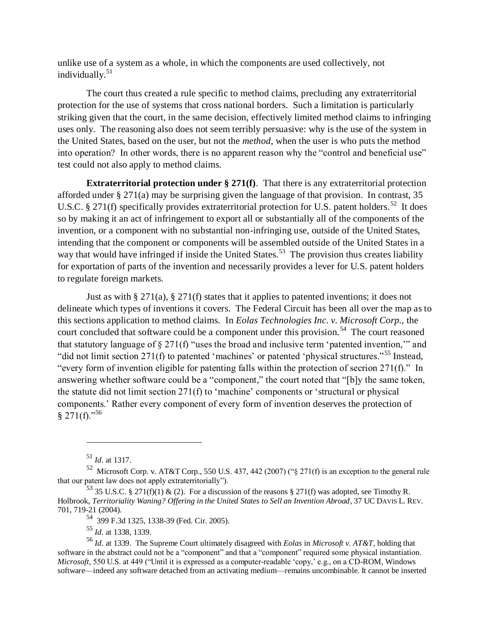unlike use of a system as a whole, in which the components are used collectively, not individually.<sup>51</sup>

The court thus created a rule specific to method claims, precluding any extraterritorial protection for the use of systems that cross national borders. Such a limitation is particularly striking given that the court, in the same decision, effectively limited method claims to infringing uses only. The reasoning also does not seem terribly persuasive: why is the use of the system in the United States, based on the user, but not the *method*, when the user is who puts the method into operation? In other words, there is no apparent reason why the "control and beneficial use" test could not also apply to method claims.

**Extraterritorial protection under § 271(f)**. That there is any extraterritorial protection afforded under § 271(a) may be surprising given the language of that provision. In contrast, 35 U.S.C. § 271(f) specifically provides extraterritorial protection for U.S. patent holders.<sup>52</sup> It does so by making it an act of infringement to export all or substantially all of the components of the invention, or a component with no substantial non-infringing use, outside of the United States, intending that the component or components will be assembled outside of the United States in a way that would have infringed if inside the United States.<sup>53</sup> The provision thus creates liability for exportation of parts of the invention and necessarily provides a lever for U.S. patent holders to regulate foreign markets.

Just as with  $\S 271(a)$ ,  $\S 271(f)$  states that it applies to patented inventions; it does not delineate which types of inventions it covers. The Federal Circuit has been all over the map as to this sections application to method claims. In *Eolas Technologies Inc. v. Microsoft Corp.,* the court concluded that software could be a component under this provision.<sup>54</sup> The court reasoned that statutory language of § 271(f) "uses the broad and inclusive term 'patented invention,'" and "did not limit section 271(f) to patented 'machines' or patented 'physical structures."<sup>55</sup> Instead, "every form of invention eligible for patenting falls within the protection of secrion 271(f)." In answering whether software could be a "component," the court noted that "[b]y the same token, the statute did not limit section 271(f) to 'machine' components or 'structural or physical components.' Rather every component of every form of invention deserves the protection of  $§ 271(f).^{56}$ 

<sup>51</sup> *Id.* at 1317.

<sup>52</sup> Microsoft Corp. v. AT&T Corp., 550 U.S. 437, 442 (2007) ("§ 271(f) is an exception to the general rule that our patent law does not apply extraterritorially").

 $^{53}$  35 U.S.C. § 271(f)(1) & (2). For a discussion of the reasons § 271(f) was adopted, see Timothy R. Holbrook, *Territoriality Waning? Offering in the United States to Sell an Invention Abroad*, 37 UC DAVIS L. REV. 701, 719-21 (2004).

<sup>54</sup> 399 F.3d 1325, 1338-39 (Fed. Cir. 2005).

<sup>55</sup> *Id.* at 1338, 1339.

<sup>56</sup> *Id.* at 1339. The Supreme Court ultimately disagreed with *Eolas* in *Microsoft v. AT&T*, holding that software in the abstract could not be a "component" and that a "component" required some physical instantiation. *Microsoft*, 550 U.S. at 449 ("Until it is expressed as a computer-readable 'copy,' e.g., on a CD-ROM, Windows software—indeed any software detached from an activating medium—remains uncombinable. It cannot be inserted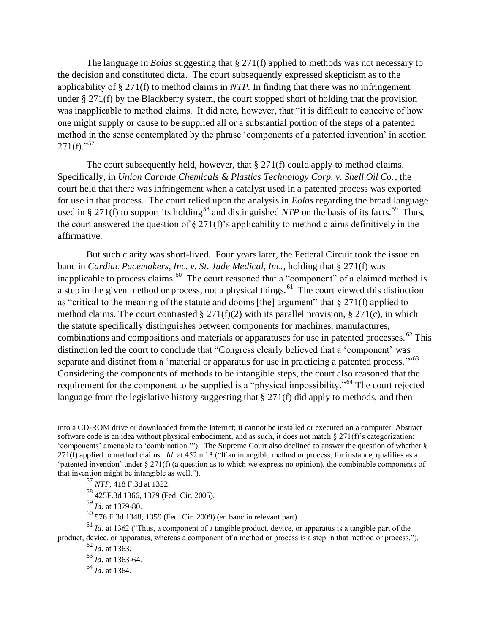The language in *Eolas* suggesting that § 271(f) applied to methods was not necessary to the decision and constituted dicta. The court subsequently expressed skepticism as to the applicability of § 271(f) to method claims in *NTP*. In finding that there was no infringement under § 271(f) by the Blackberry system, the court stopped short of holding that the provision was inapplicable to method claims. It did note, however, that "it is difficult to conceive of how one might supply or cause to be supplied all or a substantial portion of the steps of a patented method in the sense contemplated by the phrase 'components of a patented invention' in section  $271(f).$ <sup>57</sup>

The court subsequently held, however, that § 271(f) could apply to method claims. Specifically, in *Union Carbide Chemicals & Plastics Technology Corp. v. Shell Oil Co.*, the court held that there was infringement when a catalyst used in a patented process was exported for use in that process. The court relied upon the analysis in *Eolas* regarding the broad language used in § 271(f) to support its holding<sup>58</sup> and distinguished *NTP* on the basis of its facts.<sup>59</sup> Thus, the court answered the question of  $\S 271(f)$ 's applicability to method claims definitively in the affirmative.

But such clarity was short-lived. Four years later, the Federal Circuit took the issue en banc in *Cardiac Pacemakers, Inc. v. St. Jude Medical, Inc.*, holding that § 271(f) was inapplicable to process claims.<sup>60</sup> The court reasoned that a "component" of a claimed method is a step in the given method or process, not a physical things.<sup>61</sup> The court viewed this distinction as "critical to the meaning of the statute and dooms [the] argument" that  $\S 271(f)$  applied to method claims. The court contrasted  $\S 271(f)(2)$  with its parallel provision,  $\S 271(c)$ , in which the statute specifically distinguishes between components for machines, manufactures, combinations and compositions and materials or apparatuses for use in patented processes. <sup>62</sup> This distinction led the court to conclude that "Congress clearly believed that a 'component' was separate and distinct from a 'material or apparatus for use in practicing a patented process."<sup>63</sup> Considering the components of methods to be intangible steps, the court also reasoned that the requirement for the component to be supplied is a "physical impossibility."<sup>64</sup> The court rejected language from the legislative history suggesting that § 271(f) did apply to methods, and then

 $\overline{a}$ 

<sup>63</sup> *Id.* at 1363-64.

<sup>64</sup> *Id.* at 1364.

into a CD-ROM drive or downloaded from the Internet; it cannot be installed or executed on a computer. Abstract software code is an idea without physical embodiment, and as such, it does not match § 271(f)'s categorization: 'components' amenable to 'combination.'"). The Supreme Court also declined to answer the question of whether § 271(f) applied to method claims. *Id.* at 452 n.13 ("If an intangible method or process, for instance, qualifies as a 'patented invention' under § 271(f) (a question as to which we express no opinion), the combinable components of that invention might be intangible as well.").

<sup>57</sup> *NTP*, 418 F.3d at 1322.

<sup>58</sup> 425F.3d 1366, 1379 (Fed. Cir. 2005).

<sup>59</sup> *Id.* at 1379-80.

 $^{60}$  576 F.3d 1348, 1359 (Fed. Cir. 2009) (en banc in relevant part).

<sup>61</sup> *Id.* at 1362 ("Thus, a component of a tangible product, device, or apparatus is a tangible part of the product, device, or apparatus, whereas a component of a method or process is a step in that method or process.").

 $62$  *Id.* at 1363.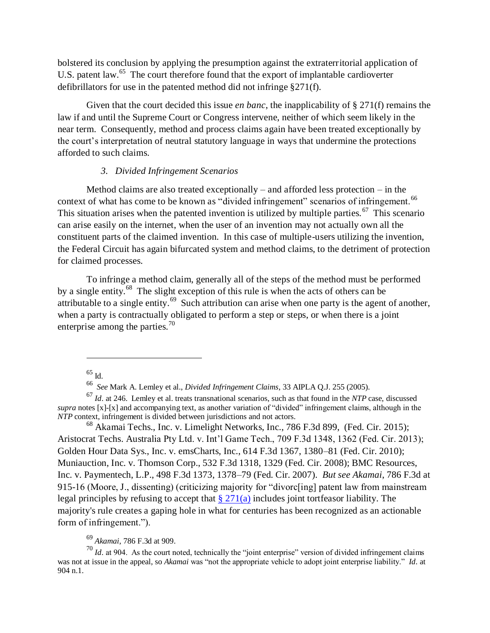bolstered its conclusion by applying the presumption against the extraterritorial application of U.S. patent law.<sup>65</sup> The court therefore found that the export of implantable cardioverter defibrillators for use in the patented method did not infringe §271(f).

Given that the court decided this issue *en banc*, the inapplicability of § 271(f) remains the law if and until the Supreme Court or Congress intervene, neither of which seem likely in the near term. Consequently, method and process claims again have been treated exceptionally by the court's interpretation of neutral statutory language in ways that undermine the protections afforded to such claims.

#### *3. Divided Infringement Scenarios*

<span id="page-14-0"></span>Method claims are also treated exceptionally – and afforded less protection – in the context of what has come to be known as "divided infringement" scenarios of infringement.<sup>66</sup> This situation arises when the patented invention is utilized by multiple parties.<sup>67</sup> This scenario can arise easily on the internet, when the user of an invention may not actually own all the constituent parts of the claimed invention. In this case of multiple-users utilizing the invention, the Federal Circuit has again bifurcated system and method claims, to the detriment of protection for claimed processes.

To infringe a method claim, generally all of the steps of the method must be performed by a single entity.<sup>68</sup> The slight exception of this rule is when the acts of others can be attributable to a single entity.<sup>69</sup> Such attribution can arise when one party is the agent of another, when a party is contractually obligated to perform a step or steps, or when there is a joint enterprise among the parties. $\frac{70}{2}$ 

<sup>68</sup> Akamai Techs., Inc. v. Limelight Networks, Inc., 786 F.3d 899, (Fed. Cir. 2015); Aristocrat Techs. Australia Pty Ltd. v. Int'l Game Tech., 709 F.3d 1348, 1362 (Fed. Cir. 2013); Golden Hour Data Sys., Inc. v. emsCharts, Inc., 614 F.3d 1367, 1380–81 (Fed. Cir. 2010); Muniauction, Inc. v. Thomson Corp., 532 F.3d 1318, 1329 (Fed. Cir. 2008); BMC Resources, Inc. v. Paymentech, L.P., 498 F.3d 1373, 1378–79 (Fed. Cir. 2007). *But see Akamai*, 786 F.3d at 915-16 (Moore, J., dissenting) (criticizing majority for "divorc[ing] patent law from mainstream legal principles by refusing to accept that  $\S 271(a)$  includes joint tortfeasor liability. The majority's rule creates a gaping hole in what for centuries has been recognized as an actionable form of infringement.").

## <sup>69</sup> *Akamai*, 786 F.3d at 909.

 $^{70}$  *Id.* at 904. As the court noted, technically the "joint enterprise" version of divided infringement claims was not at issue in the appeal, so *Akamai* was "not the appropriate vehicle to adopt joint enterprise liability." *Id.* at 904 n.1.

<sup>65</sup> Id.

<sup>66</sup> *See* Mark A. Lemley et al., *Divided Infringement Claims*, 33 AIPLA Q.J. 255 (2005).

<sup>67</sup> *Id.* at 246. Lemley et al. treats transnational scenarios, such as that found in the *NTP* case, discussed *supra* notes [x]-[x] and accompanying text, as another variation of "divided" infringement claims, although in the *NTP* context, infringement is divided between jurisdictions and not actors.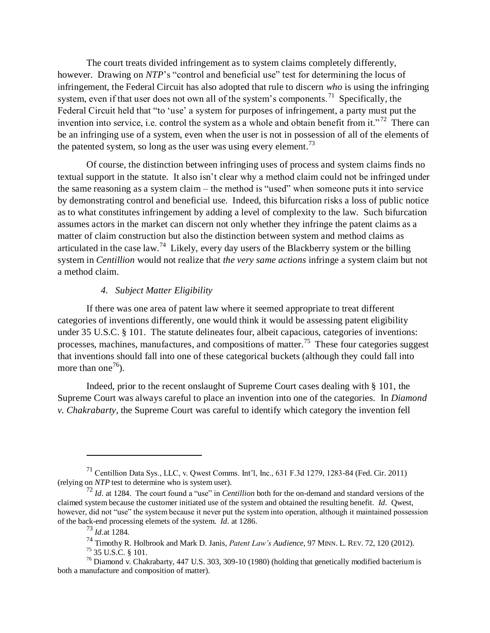The court treats divided infringement as to system claims completely differently, however. Drawing on *NTP*'s "control and beneficial use" test for determining the locus of infringement, the Federal Circuit has also adopted that rule to discern *who* is using the infringing system, even if that user does not own all of the system's components.<sup>71</sup> Specifically, the Federal Circuit held that "to 'use' a system for purposes of infringement, a party must put the invention into service, i.e. control the system as a whole and obtain benefit from it.<sup> $272$ </sup> There can be an infringing use of a system, even when the user is not in possession of all of the elements of the patented system, so long as the user was using every element.<sup>73</sup>

Of course, the distinction between infringing uses of process and system claims finds no textual support in the statute. It also isn't clear why a method claim could not be infringed under the same reasoning as a system claim – the method is "used" when someone puts it into service by demonstrating control and beneficial use. Indeed, this bifurcation risks a loss of public notice as to what constitutes infringement by adding a level of complexity to the law. Such bifurcation assumes actors in the market can discern not only whether they infringe the patent claims as a matter of claim construction but also the distinction between system and method claims as articulated in the case law.<sup>74</sup> Likely, every day users of the Blackberry system or the billing system in *Centillion* would not realize that *the very same actions* infringe a system claim but not a method claim.

### *4. Subject Matter Eligibility*

<span id="page-15-0"></span>If there was one area of patent law where it seemed appropriate to treat different categories of inventions differently, one would think it would be assessing patent eligibility under 35 U.S.C. § 101. The statute delineates four, albeit capacious, categories of inventions: processes, machines, manufactures, and compositions of matter.<sup>75</sup> These four categories suggest that inventions should fall into one of these categorical buckets (although they could fall into more than one<sup>76</sup>).

Indeed, prior to the recent onslaught of Supreme Court cases dealing with § 101, the Supreme Court was always careful to place an invention into one of the categories. In *Diamond v. Chakrabarty*, the Supreme Court was careful to identify which category the invention fell

<sup>71</sup> Centillion Data Sys., LLC, v. Qwest Comms. Int'l, Inc., 631 F.3d 1279, 1283-84 (Fed. Cir. 2011) (relying on *NTP* test to determine who is system user).

<sup>72</sup> *Id.* at 1284. The court found a "use" in *Centillion* both for the on-demand and standard versions of the claimed system because the customer initiated use of the system and obtained the resulting benefit. *Id.* Qwest, however, did not "use" the system because it never put the system into operation, although it maintained possession of the back-end processing elemets of the system. *Id.* at 1286.

<sup>73</sup> *Id.*at 1284.

<sup>74</sup> Timothy R. Holbrook and Mark D. Janis, *Patent Law's Audience*, 97 MINN. L. REV. 72, 120 (2012).

 $^{75}$  35 U.S.C. § 101.

<sup>&</sup>lt;sup>76</sup> Diamond v. Chakrabarty, 447 U.S. 303, 309-10 (1980) (holding that genetically modified bacterium is both a manufacture and composition of matter).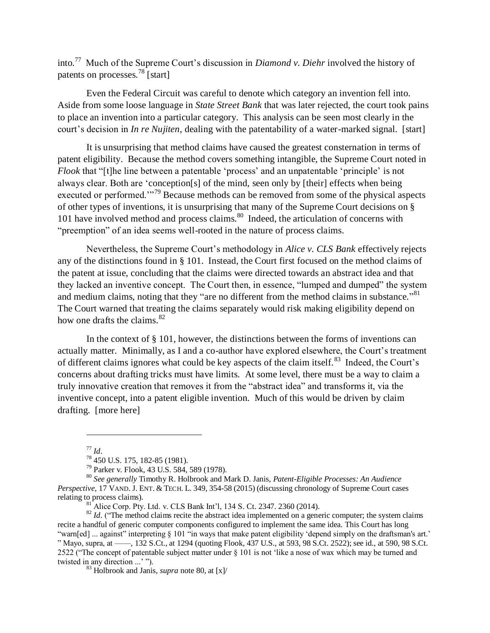into.<sup>77</sup> Much of the Supreme Court's discussion in *Diamond v. Diehr* involved the history of patents on processes.<sup>78</sup> [start]

Even the Federal Circuit was careful to denote which category an invention fell into. Aside from some loose language in *State Street Bank* that was later rejected, the court took pains to place an invention into a particular category. This analysis can be seen most clearly in the court's decision in *In re Nujiten*, dealing with the patentability of a water-marked signal. [start]

It is unsurprising that method claims have caused the greatest consternation in terms of patent eligibility. Because the method covers something intangible, the Supreme Court noted in *Flook* that "[t]he line between a patentable 'process' and an unpatentable 'principle' is not always clear. Both are 'conception[s] of the mind, seen only by [their] effects when being executed or performed."<sup>79</sup> Because methods can be removed from some of the physical aspects of other types of inventions, it is unsurprising that many of the Supreme Court decisions on § 101 have involved method and process claims.<sup>80</sup> Indeed, the articulation of concerns with "preemption" of an idea seems well-rooted in the nature of process claims.

<span id="page-16-0"></span>Nevertheless, the Supreme Court's methodology in *Alice v. CLS Bank* effectively rejects any of the distinctions found in § 101. Instead, the Court first focused on the method claims of the patent at issue, concluding that the claims were directed towards an abstract idea and that they lacked an inventive concept. The Court then, in essence, "lumped and dumped" the system and medium claims, noting that they "are no different from the method claims in substance."<sup>81</sup> The Court warned that treating the claims separately would risk making eligibility depend on how one drafts the claims. $82$ 

In the context of § 101, however, the distinctions between the forms of inventions can actually matter. Minimally, as I and a co-author have explored elsewhere, the Court's treatment of different claims ignores what could be key aspects of the claim itself.<sup>83</sup> Indeed, the Court's concerns about drafting tricks must have limits. At some level, there must be a way to claim a truly innovative creation that removes it from the "abstract idea" and transforms it, via the inventive concept, into a patent eligible invention. Much of this would be driven by claim drafting. [more here]

<sup>77</sup> *Id.*

<sup>78</sup> 450 U.S. 175, 182-85 (1981).

<sup>79</sup> Parker v. Flook, 43 U.S. 584, 589 (1978).

<sup>80</sup> *See generally* Timothy R. Holbrook and Mark D. Janis, *Patent-Eligible Processes: An Audience Perspective*, 17 VAND. J. ENT. & TECH. L. 349, 354-58 (2015) (discussing chronology of Supreme Court cases relating to process claims).

Alice Corp. Pty. Ltd. v. CLS Bank Int'l, 134 S. Ct. 2347. 2360 (2014).

<sup>&</sup>lt;sup>82</sup> *Id.* ("The method claims recite the abstract idea implemented on a generic computer; the system claims recite a handful of generic computer components configured to implement the same idea. This Court has long "warn[ed] ... against" interpreting § 101 "in ways that make patent eligibility 'depend simply on the draftsman's art.' " Mayo, supra, at ––––, 132 S.Ct., at 1294 (quoting Flook, 437 U.S., at 593, 98 S.Ct. 2522); see id., at 590, 98 S.Ct. 2522 ("The concept of patentable subject matter under § 101 is not 'like a nose of wax which may be turned and twisted in any direction ...' ").

<sup>83</sup> Holbrook and Janis, *supra* note [80,](#page-16-0) at [x]/